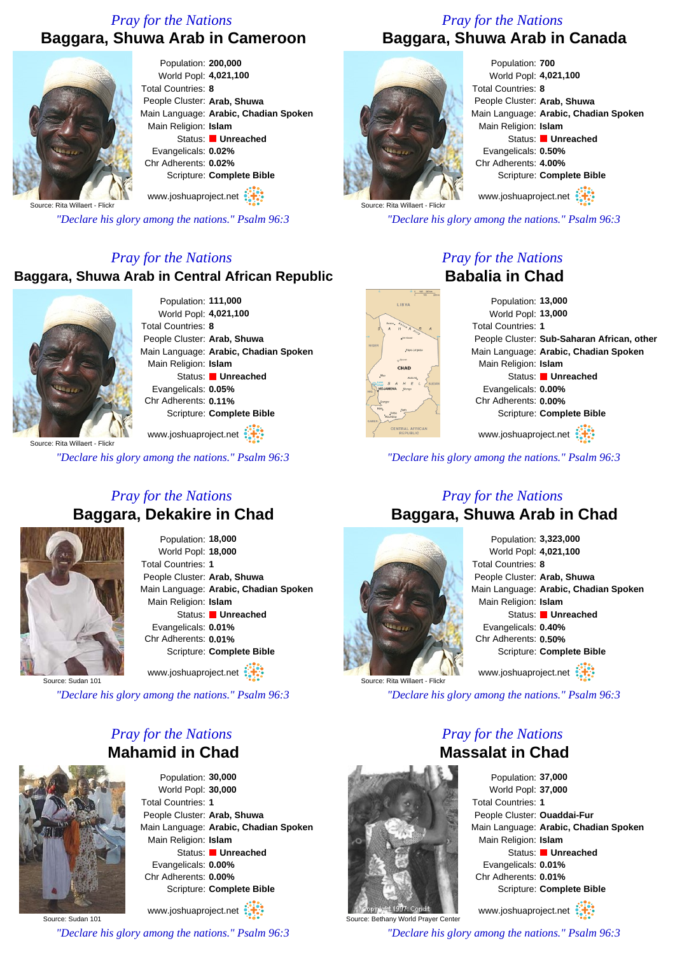## *Pray for the Nations* **Baggara, Shuwa Arab in Cameroon**



Population: **200,000** World Popl: **4,021,100** Total Countries: **8** People Cluster: **Arab, Shuwa** Main Language: **Arabic, Chadian Spoken** Main Religion: **Islam** Status: **Unreached** Evangelicals: **0.02%** Chr Adherents: **0.02%** Scripture: **Complete Bible**

www.joshuaproject.net

Source: Rita Willaert - Flickr

*"Declare his glory among the nations." Psalm 96:3*

#### *Pray for the Nations*

#### **Baggara, Shuwa Arab in Central African Republic**



Population: **111,000** World Popl: **4,021,100** Total Countries: **8** People Cluster: **Arab, Shuwa** Main Language: **Arabic, Chadian Spoken** Main Religion: **Islam** Status: **Unreached** Evangelicals: **0.05%** Chr Adherents: **0.11%** Scripture: **Complete Bible**

www.joshuaproject.net

*"Declare his glory among the nations." Psalm 96:3*

### *Pray for the Nations* **Baggara, Dekakire in Chad**



Population: **18,000** World Popl: **18,000** Total Countries: **1** People Cluster: **Arab, Shuwa** Main Language: **Arabic, Chadian Spoken** Main Religion: **Islam** Status: **Unreached** Evangelicals: **0.01%** Chr Adherents: **0.01%** Scripture: **Complete Bible** www.joshuaproject.net

Source: Sudan 101

*"Declare his glory among the nations." Psalm 96:3*

## *Pray for the Nations* **Mahamid in Chad**



Population: **30,000** World Popl: **30,000** Total Countries: **1** People Cluster: **Arab, Shuwa** Main Language: **Arabic, Chadian Spoken** Main Religion: **Islam** Status: **Unreached** Evangelicals: **0.00%** Chr Adherents: **0.00%** Scripture: **Complete Bible**

Source: Sudan 101 www.joshuaproject.net

*"Declare his glory among the nations." Psalm 96:3*

### *Pray for the Nations* **Baggara, Shuwa Arab in Canada**



Population: **700** World Popl: **4,021,100** Total Countries: **8** People Cluster: **Arab, Shuwa** Main Language: **Arabic, Chadian Spoken** Main Religion: **Islam** Status: **Unreached** Evangelicals: **0.50%** Chr Adherents: **4.00%** Scripture: **Complete Bible**

www.joshuaproject.net

*"Declare his glory among the nations." Psalm 96:3*

### *Pray for the Nations* **Babalia in Chad**



Population: **13,000** World Popl: **13,000** Total Countries: **1** People Cluster: **Sub-Saharan African, other** Main Language: **Arabic, Chadian Spoken** Main Religion: **Islam** Status: **Unreached** Evangelicals: **0.00%** Chr Adherents: **0.00%** Scripture: **Complete Bible** www.joshuaproject.net

*"Declare his glory among the nations." Psalm 96:3*

### *Pray for the Nations* **Baggara, Shuwa Arab in Chad**



Population: **3,323,000** World Popl: **4,021,100** Total Countries: **8** People Cluster: **Arab, Shuwa** Main Language: **Arabic, Chadian Spoken** Main Religion: **Islam** Status: **Unreached** Evangelicals: **0.40%** Chr Adherents: **0.50%** Scripture: **Complete Bible** www.joshuaproject.net

*"Declare his glory among the nations." Psalm 96:3*

## *Pray for the Nations* **Massalat in Chad**



Source: Bethany World Prayer Center *"Declare his glory among the nations." Psalm 96:3*